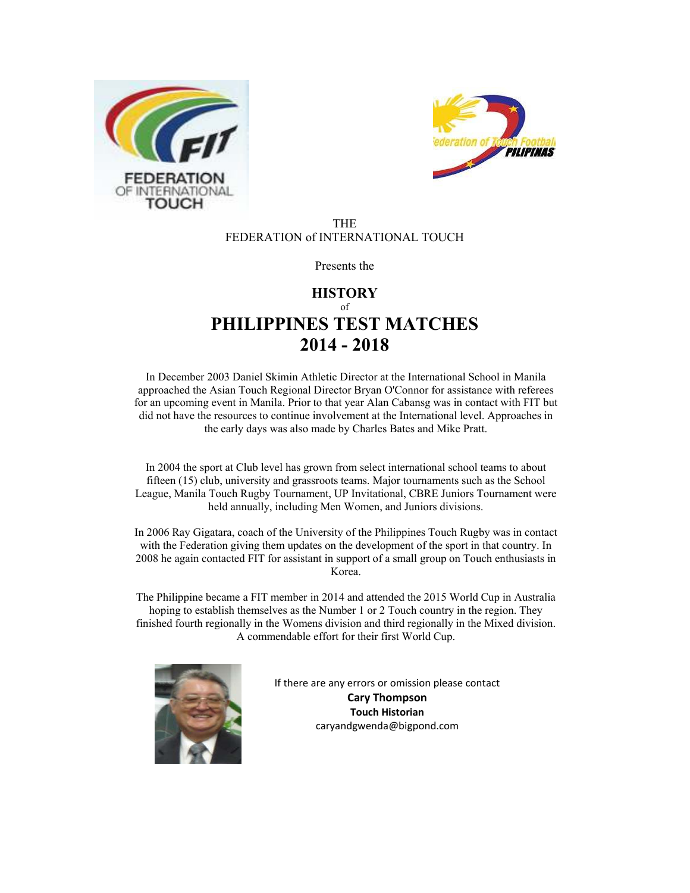



#### THE FEDERATION of INTERNATIONAL TOUCH

Presents the

### **HISTORY** of **PHILIPPINES TEST MATCHES 2014 - 2018**

In December 2003 Daniel Skimin Athletic Director at the International School in Manila approached the Asian Touch Regional Director Bryan O'Connor for assistance with referees for an upcoming event in Manila. Prior to that year Alan Cabansg was in contact with FIT but did not have the resources to continue involvement at the International level. Approaches in the early days was also made by Charles Bates and Mike Pratt.

In 2004 the sport at Club level has grown from select international school teams to about fifteen (15) club, university and grassroots teams. Major tournaments such as the School League, Manila Touch Rugby Tournament, UP Invitational, CBRE Juniors Tournament were held annually, including Men Women, and Juniors divisions.

In 2006 Ray Gigatara, coach of the University of the Philippines Touch Rugby was in contact with the Federation giving them updates on the development of the sport in that country. In 2008 he again contacted FIT for assistant in support of a small group on Touch enthusiasts in Korea.

The Philippine became a FIT member in 2014 and attended the 2015 World Cup in Australia hoping to establish themselves as the Number 1 or 2 Touch country in the region. They finished fourth regionally in the Womens division and third regionally in the Mixed division. A commendable effort for their first World Cup.



If there are any errors or omission please contact **Cary Thompson Touch Historian**  caryandgwenda@bigpond.com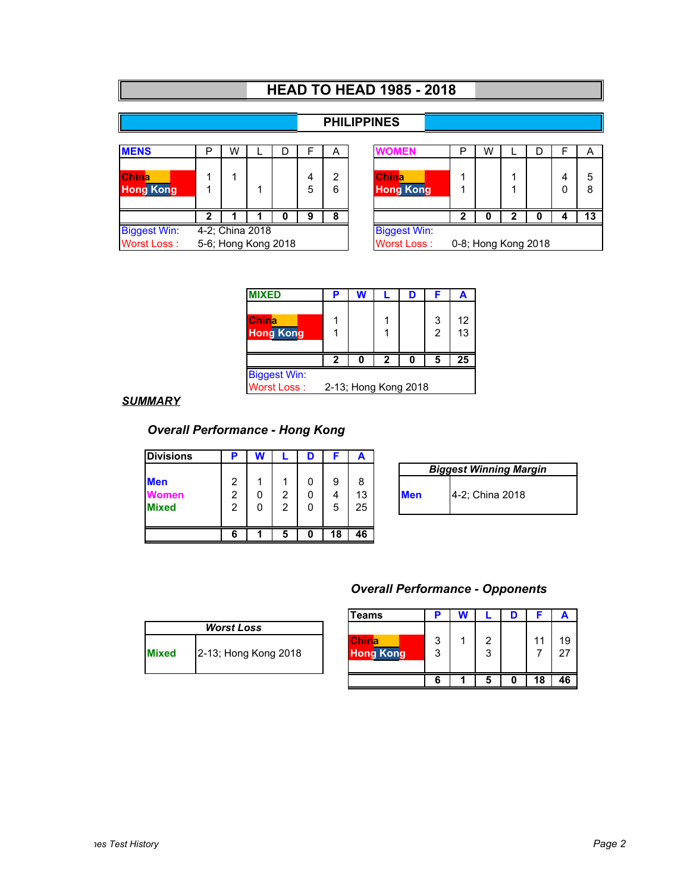|                     | <b>HEAD TO HEAD 1985 - 2018</b>                                  |   |                 |   |   |   |                     |  |   |   |   |   |  |    |
|---------------------|------------------------------------------------------------------|---|-----------------|---|---|---|---------------------|--|---|---|---|---|--|----|
|                     |                                                                  |   |                 |   |   |   |                     |  |   |   |   |   |  |    |
|                     |                                                                  |   |                 |   |   |   | <b>PHILIPPINES</b>  |  |   |   |   |   |  |    |
|                     |                                                                  |   |                 |   |   |   |                     |  |   |   |   |   |  |    |
| <b>MENS</b>         | Р                                                                | W |                 | D | F | A | <b>WOMEN</b>        |  | P | W |   | D |  | A  |
|                     |                                                                  |   |                 |   |   |   |                     |  |   |   |   |   |  |    |
| <b>China</b>        |                                                                  |   |                 |   | 4 | 2 | <b>China</b>        |  |   |   |   |   |  | 5  |
| <b>Hong Kong</b>    |                                                                  |   |                 |   | 5 | 6 | <b>Hong Kong</b>    |  |   |   |   |   |  | 8  |
|                     |                                                                  |   |                 |   |   |   |                     |  |   |   |   |   |  |    |
|                     |                                                                  |   |                 |   | 9 | 8 |                     |  | 2 |   | n |   |  | 13 |
| <b>Biggest Win:</b> |                                                                  |   | 4-2; China 2018 |   |   |   | <b>Biggest Win:</b> |  |   |   |   |   |  |    |
| <b>Worst Loss:</b>  | 5-6; Hong Kong 2018<br><b>Worst Loss:</b><br>0-8; Hong Kong 2018 |   |                 |   |   |   |                     |  |   |   |   |   |  |    |

| <b>MIXED</b>                      |                      |  |   |  |        | A        |  |  |
|-----------------------------------|----------------------|--|---|--|--------|----------|--|--|
| <b>IChina</b><br><b>Hong Kong</b> |                      |  |   |  | 3<br>2 | 12<br>13 |  |  |
|                                   |                      |  | 2 |  | 5      | 25       |  |  |
| <b>Biggest Win:</b>               |                      |  |   |  |        |          |  |  |
| Worst Loss:                       | 2-13; Hong Kong 2018 |  |   |  |        |          |  |  |

#### *SUMMARY*

# *Overall Performance - Hong Kong*

| <b>Divisions</b> |   | W |   |   |    | A  |            |                           |
|------------------|---|---|---|---|----|----|------------|---------------------------|
|                  |   |   |   |   |    |    |            | <b>Biggest Winning Ma</b> |
| <b>Men</b>       | 2 |   |   |   | 9  | 8  |            |                           |
| Women            | 2 |   | 2 |   | 4  | 13 | <b>Men</b> | 4-2; China 2018           |
| <b>Mixed</b>     | 2 |   | 2 |   | 5  | 25 |            |                           |
|                  |   |   |   |   |    |    |            |                           |
|                  | 6 |   | 5 | O | 18 | 46 |            |                           |

| <b>Biggest Winning Margin</b> |                 |  |  |  |  |  |  |  |  |
|-------------------------------|-----------------|--|--|--|--|--|--|--|--|
| <b>IMen</b>                   | 4-2; China 2018 |  |  |  |  |  |  |  |  |

#### *Overall Performance - Opponents*

|              |                      | <b>Teams</b>                     |        |             |    |            |
|--------------|----------------------|----------------------------------|--------|-------------|----|------------|
|              | <b>Worst Loss</b>    |                                  |        |             |    |            |
| <b>Mixed</b> | 2-13; Hong Kong 2018 | <b>China</b><br><b>Hong Kong</b> | 3<br>3 | ົ<br>າ<br>J |    | 19<br>- 27 |
|              |                      |                                  | h      |             | 18 | 46         |

| <b>Worst Loss</b> |                      |  |  |  |  |  |  |  |
|-------------------|----------------------|--|--|--|--|--|--|--|
| <b>IMixed</b>     | 2-13; Hong Kong 2018 |  |  |  |  |  |  |  |